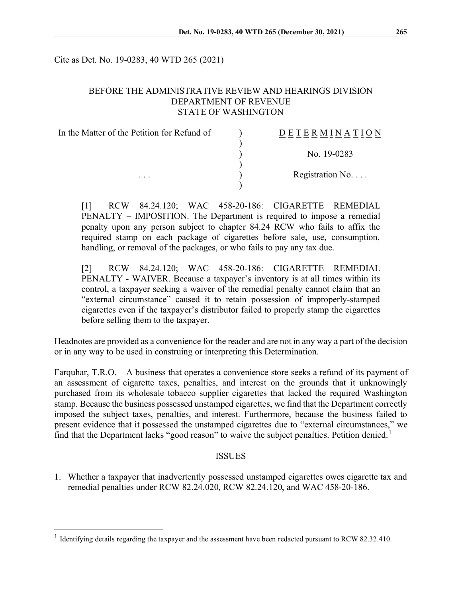Cite as Det. No. 19-0283, 40 WTD 265 (2021)

#### BEFORE THE ADMINISTRATIVE REVIEW AND HEARINGS DIVISION DEPARTMENT OF REVENUE STATE OF WASHINGTON

| In the Matter of the Petition for Refund of<br>$\cdots$ | DETERMINATION            |
|---------------------------------------------------------|--------------------------|
|                                                         | No. 19-0283              |
|                                                         | Registration No. $\dots$ |
|                                                         |                          |

[1] RCW 84.24.120; WAC 458-20-186: CIGARETTE REMEDIAL PENALTY – IMPOSITION. The Department is required to impose a remedial penalty upon any person subject to chapter 84.24 RCW who fails to affix the required stamp on each package of cigarettes before sale, use, consumption, handling, or removal of the packages, or who fails to pay any tax due.

[2] RCW 84.24.120; WAC 458-20-186: CIGARETTE REMEDIAL PENALTY - WAIVER. Because a taxpayer's inventory is at all times within its control, a taxpayer seeking a waiver of the remedial penalty cannot claim that an "external circumstance" caused it to retain possession of improperly-stamped cigarettes even if the taxpayer's distributor failed to properly stamp the cigarettes before selling them to the taxpayer.

Headnotes are provided as a convenience for the reader and are not in any way a part of the decision or in any way to be used in construing or interpreting this Determination.

Farquhar, T.R.O. – A business that operates a convenience store seeks a refund of its payment of an assessment of cigarette taxes, penalties, and interest on the grounds that it unknowingly purchased from its wholesale tobacco supplier cigarettes that lacked the required Washington stamp. Because the business possessed unstamped cigarettes, we find that the Department correctly imposed the subject taxes, penalties, and interest. Furthermore, because the business failed to present evidence that it possessed the unstamped cigarettes due to "external circumstances," we find that the Department lacks "good reason" to waive the subject penalties. Petition denied.<sup>[1](#page-0-0)</sup>

#### **ISSUES**

1. Whether a taxpayer that inadvertently possessed unstamped cigarettes owes cigarette tax and remedial penalties under RCW 82.24.020, RCW 82.24.120, and WAC 458-20-186.

<span id="page-0-0"></span><sup>&</sup>lt;sup>1</sup> Identifying details regarding the taxpayer and the assessment have been redacted pursuant to RCW 82.32.410.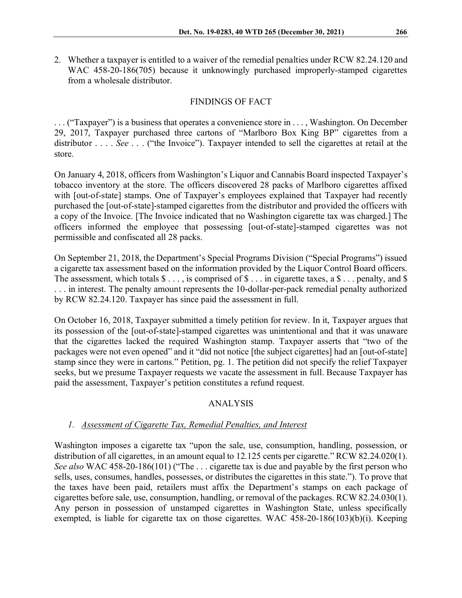2. Whether a taxpayer is entitled to a waiver of the remedial penalties under RCW 82.24.120 and WAC 458-20-186(705) because it unknowingly purchased improperly-stamped cigarettes from a wholesale distributor.

## FINDINGS OF FACT

. . . ("Taxpayer") is a business that operates a convenience store in . . . , Washington. On December 29, 2017, Taxpayer purchased three cartons of "Marlboro Box King BP" cigarettes from a distributor . . . . *See* . . . ("the Invoice"). Taxpayer intended to sell the cigarettes at retail at the store.

On January 4, 2018, officers from Washington's Liquor and Cannabis Board inspected Taxpayer's tobacco inventory at the store. The officers discovered 28 packs of Marlboro cigarettes affixed with [out-of-state] stamps. One of Taxpayer's employees explained that Taxpayer had recently purchased the [out-of-state]-stamped cigarettes from the distributor and provided the officers with a copy of the Invoice. [The Invoice indicated that no Washington cigarette tax was charged.] The officers informed the employee that possessing [out-of-state]-stamped cigarettes was not permissible and confiscated all 28 packs.

On September 21, 2018, the Department's Special Programs Division ("Special Programs") issued a cigarette tax assessment based on the information provided by the Liquor Control Board officers. The assessment, which totals  $\$\ldots$ , is comprised of  $\$\ldots$  in cigarette taxes, a  $\$\ldots$  penalty, and  $\$\$ . . . in interest. The penalty amount represents the 10-dollar-per-pack remedial penalty authorized by RCW 82.24.120. Taxpayer has since paid the assessment in full.

On October 16, 2018, Taxpayer submitted a timely petition for review. In it, Taxpayer argues that its possession of the [out-of-state]-stamped cigarettes was unintentional and that it was unaware that the cigarettes lacked the required Washington stamp. Taxpayer asserts that "two of the packages were not even opened" and it "did not notice [the subject cigarettes] had an [out-of-state] stamp since they were in cartons." Petition, pg. 1. The petition did not specify the relief Taxpayer seeks, but we presume Taxpayer requests we vacate the assessment in full. Because Taxpayer has paid the assessment, Taxpayer's petition constitutes a refund request.

## ANALYSIS

## *1. Assessment of Cigarette Tax, Remedial Penalties, and Interest*

Washington imposes a cigarette tax "upon the sale, use, consumption, handling, possession, or distribution of all cigarettes, in an amount equal to 12.125 cents per cigarette." RCW 82.24.020(1). *See also* WAC 458-20-186(101) ("The . . . cigarette tax is due and payable by the first person who sells, uses, consumes, handles, possesses, or distributes the cigarettes in this state."). To prove that the taxes have been paid, retailers must affix the Department's stamps on each package of cigarettes before sale, use, consumption, handling, or removal of the packages. RCW 82.24.030(1). Any person in possession of unstamped cigarettes in Washington State, unless specifically exempted, is liable for cigarette tax on those cigarettes. WAC 458-20-186(103)(b)(i). Keeping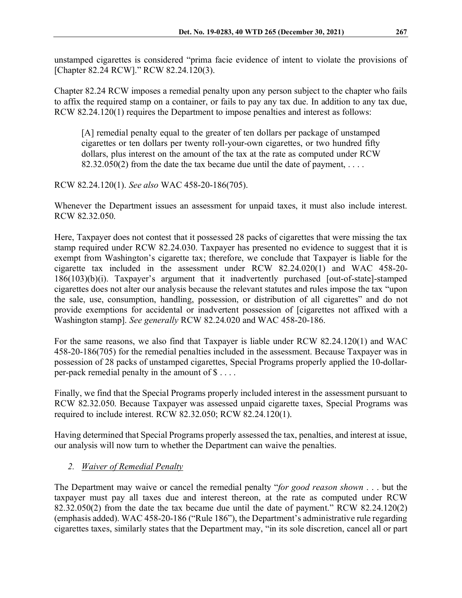unstamped cigarettes is considered "prima facie evidence of intent to violate the provisions of [Chapter 82.24 RCW]." RCW 82.24.120(3).

Chapter 82.24 RCW imposes a remedial penalty upon any person subject to the chapter who fails to affix the required stamp on a container, or fails to pay any tax due. In addition to any tax due, RCW 82.24.120(1) requires the Department to impose penalties and interest as follows:

[A] remedial penalty equal to the greater of ten dollars per package of unstamped cigarettes or ten dollars per twenty roll-your-own cigarettes, or two hundred fifty dollars, plus interest on the amount of the tax at the rate as computed under RCW 82.32.050(2) from the date the tax became due until the date of payment,  $\dots$ 

## RCW 82.24.120(1). *See also* WAC 458-20-186(705).

Whenever the Department issues an assessment for unpaid taxes, it must also include interest. RCW 82.32.050.

Here, Taxpayer does not contest that it possessed 28 packs of cigarettes that were missing the tax stamp required under RCW 82.24.030. Taxpayer has presented no evidence to suggest that it is exempt from Washington's cigarette tax; therefore, we conclude that Taxpayer is liable for the cigarette tax included in the assessment under RCW 82.24.020(1) and WAC 458-20- 186(103)(b)(i). Taxpayer's argument that it inadvertently purchased [out-of-state]-stamped cigarettes does not alter our analysis because the relevant statutes and rules impose the tax "upon the sale, use, consumption, handling, possession, or distribution of all cigarettes" and do not provide exemptions for accidental or inadvertent possession of [cigarettes not affixed with a Washington stamp]. *See generally* RCW 82.24.020 and WAC 458-20-186.

For the same reasons, we also find that Taxpayer is liable under RCW 82.24.120(1) and WAC 458-20-186(705) for the remedial penalties included in the assessment. Because Taxpayer was in possession of 28 packs of unstamped cigarettes, Special Programs properly applied the 10-dollarper-pack remedial penalty in the amount of  $\$\dots$ .

Finally, we find that the Special Programs properly included interest in the assessment pursuant to RCW 82.32.050. Because Taxpayer was assessed unpaid cigarette taxes, Special Programs was required to include interest. RCW 82.32.050; RCW 82.24.120(1).

Having determined that Special Programs properly assessed the tax, penalties, and interest at issue, our analysis will now turn to whether the Department can waive the penalties.

# *2. Waiver of Remedial Penalty*

The Department may waive or cancel the remedial penalty "*for good reason shown* . . . but the taxpayer must pay all taxes due and interest thereon, at the rate as computed under RCW 82.32.050(2) from the date the tax became due until the date of payment." RCW 82.24.120(2) (emphasis added). WAC 458-20-186 ("Rule 186"), the Department's administrative rule regarding cigarettes taxes, similarly states that the Department may, "in its sole discretion, cancel all or part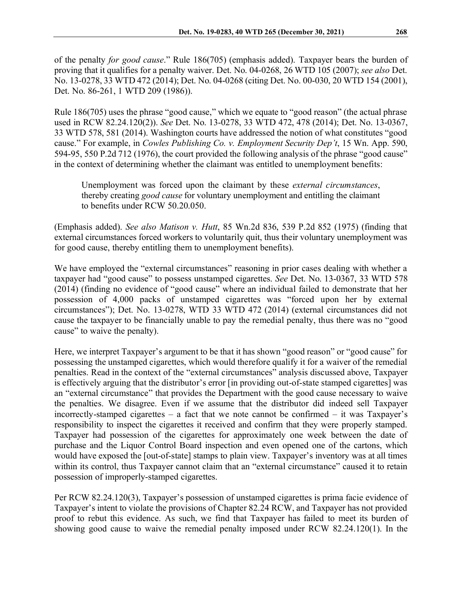of the penalty *for good cause*." Rule 186(705) (emphasis added). Taxpayer bears the burden of proving that it qualifies for a penalty waiver. Det. No. 04-0268, 26 WTD 105 (2007); *see also* Det. No. 13-0278, 33 WTD 472 (2014); Det. No. 04-0268 (citing Det. No. 00-030, 20 WTD 154 (2001), Det. No. 86-261, 1 WTD 209 (1986)).

Rule 186(705) uses the phrase "good cause," which we equate to "good reason" (the actual phrase used in RCW 82.24.120(2)). *See* Det. No. 13-0278, 33 WTD 472, 478 (2014); Det. No. 13-0367, 33 WTD 578, 581 (2014). Washington courts have addressed the notion of what constitutes "good cause." For example, in *Cowles Publishing Co. v. Employment Security Dep't*, 15 Wn. App. 590, 594-95, 550 P.2d 712 (1976), the court provided the following analysis of the phrase "good cause" in the context of determining whether the claimant was entitled to unemployment benefits:

Unemployment was forced upon the claimant by these *external circumstances*, thereby creating *good cause* for voluntary unemployment and entitling the claimant to benefits under RCW 50.20.050.

(Emphasis added). *See also Matison v. Hutt*, 85 Wn.2d 836, 539 P.2d 852 (1975) (finding that external circumstances forced workers to voluntarily quit, thus their voluntary unemployment was for good cause, thereby entitling them to unemployment benefits).

We have employed the "external circumstances" reasoning in prior cases dealing with whether a taxpayer had "good cause" to possess unstamped cigarettes. *See* Det. No. 13-0367, 33 WTD 578 (2014) (finding no evidence of "good cause" where an individual failed to demonstrate that her possession of 4,000 packs of unstamped cigarettes was "forced upon her by external circumstances"); Det. No. 13-0278, WTD 33 WTD 472 (2014) (external circumstances did not cause the taxpayer to be financially unable to pay the remedial penalty, thus there was no "good cause" to waive the penalty).

Here, we interpret Taxpayer's argument to be that it has shown "good reason" or "good cause" for possessing the unstamped cigarettes, which would therefore qualify it for a waiver of the remedial penalties. Read in the context of the "external circumstances" analysis discussed above, Taxpayer is effectively arguing that the distributor's error [in providing out-of-state stamped cigarettes] was an "external circumstance" that provides the Department with the good cause necessary to waive the penalties. We disagree. Even if we assume that the distributor did indeed sell Taxpayer incorrectly-stamped cigarettes – a fact that we note cannot be confirmed – it was Taxpayer's responsibility to inspect the cigarettes it received and confirm that they were properly stamped. Taxpayer had possession of the cigarettes for approximately one week between the date of purchase and the Liquor Control Board inspection and even opened one of the cartons, which would have exposed the [out-of-state] stamps to plain view. Taxpayer's inventory was at all times within its control, thus Taxpayer cannot claim that an "external circumstance" caused it to retain possession of improperly-stamped cigarettes.

Per RCW 82.24.120(3), Taxpayer's possession of unstamped cigarettes is prima facie evidence of Taxpayer's intent to violate the provisions of Chapter 82.24 RCW, and Taxpayer has not provided proof to rebut this evidence. As such, we find that Taxpayer has failed to meet its burden of showing good cause to waive the remedial penalty imposed under RCW 82.24.120(1). In the